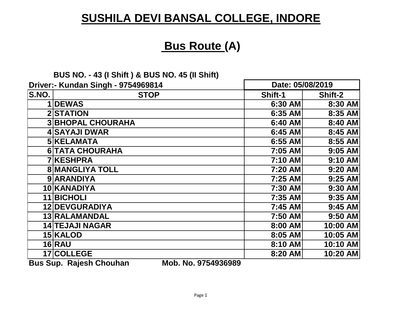## **Bus Route (A)**

#### **BUS NO. - 43 (I Shift ) & BUS NO. 45 (II Shift)**

| Driver:- Kundan Singh - 9754969814 |                          | Date: 05/08/2019 |           |
|------------------------------------|--------------------------|------------------|-----------|
| <b>S.NO.</b>                       | <b>STOP</b>              | Shift-1          | Shift-2   |
|                                    | 1DEWAS                   | 6:30 AM          | 8:30 AM   |
|                                    | 2STATION                 | 6:35 AM          | 8:35 AM   |
|                                    | <b>3 BHOPAL CHOURAHA</b> | 6:40 AM          | 8:40 AM   |
|                                    | <b>4 SAYAJI DWAR</b>     | 6:45 AM          | 8:45 AM   |
|                                    | 5 KELAMATA               | 6:55 AM          | 8:55 AM   |
|                                    | <b>6 TATA CHOURAHA</b>   | 7:05 AM          | $9:05$ AM |
|                                    | <b>7 KESHPRA</b>         | 7:10 AM          | $9:10$ AM |
|                                    | <b>8 MANGLIYA TOLL</b>   | 7:20 AM          | $9:20$ AM |
|                                    | 9 ARANDIYA               | 7:25 AM          | $9:25$ AM |
|                                    | 10 KANADIYA              | 7:30 AM          | 9:30 AM   |
|                                    | 11 BICHOLI               | 7:35 AM          | 9:35 AM   |
|                                    | 12 DEVGURADIYA           | 7:45 AM          | 9:45 AM   |
|                                    | 13 RALAMANDAL            | 7:50 AM          | 9:50 AM   |
|                                    | <b>14 TEJAJI NAGAR</b>   | 8:00 AM          | 10:00 AM  |
|                                    | 15 KALOD                 | 8:05 AM          | 10:05 AM  |
|                                    | <b>16 RAU</b>            | 8:10 AM          | 10:10 AM  |
|                                    | 17 COLLEGE               | 8:20 AM          | 10:20 AM  |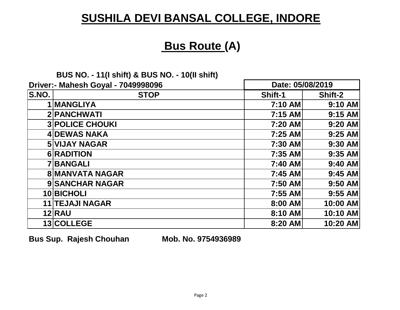## **Bus Route (A)**

#### **BUS NO. - 11(I shift) & BUS NO. - 10(II shift)**

|              | Driver:- Mahesh Goyal - 7049998096 | Date: 05/08/2019 |           |
|--------------|------------------------------------|------------------|-----------|
| <b>S.NO.</b> | <b>STOP</b>                        | <b>Shift-1</b>   | Shift-2   |
|              | 1 MANGLIYA                         | 7:10 AM          | $9:10$ AM |
|              | 2 PANCHWATI                        | 7:15 AM          | $9:15$ AM |
|              | <b>3 POLICE CHOUKI</b>             | 7:20 AM          | 9:20 AM   |
|              | <b>4DEWAS NAKA</b>                 | 7:25 AM          | $9:25$ AM |
|              | <b>5 VIJAY NAGAR</b>               | 7:30 AM          | $9:30$ AM |
|              | <b>6 RADITION</b>                  | 7:35 AM          | $9:35$ AM |
|              | <b>7 BANGALI</b>                   | 7:40 AM          | 9:40 AM   |
|              | <b>8 MANVATA NAGAR</b>             | 7:45 AM          | $9:45$ AM |
|              | <b>9 SANCHAR NAGAR</b>             | 7:50 AM          | $9:50$ AM |
|              | 10 BICHOLI                         | 7:55 AM          | $9:55$ AM |
|              | <b>11 TEJAJI NAGAR</b>             | 8:00 AM          | 10:00 AM  |
|              | <b>12 RAU</b>                      | 8:10 AM          | 10:10 AM  |
|              | 13 COLLEGE                         | 8:20 AM          | 10:20 AM  |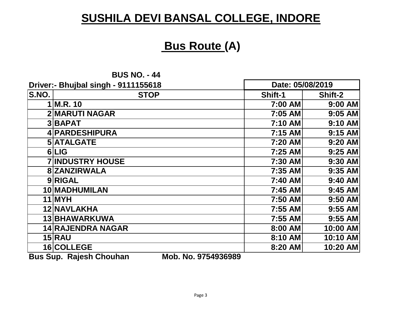### **Bus Route (A)**

**BUS NO. - 44**

|                                                                 | Driver:- Bhujbal singh - 9111155618 | Date: 05/08/2019 |           |
|-----------------------------------------------------------------|-------------------------------------|------------------|-----------|
| S.NO.                                                           | <b>STOP</b>                         | <b>Shift-1</b>   | Shift-2   |
|                                                                 | $1$ M.R. 10                         | 7:00 AM          | 9:00 AM   |
|                                                                 | <b>2 MARUTI NAGAR</b>               | 7:05 AM          | $9:05$ AM |
|                                                                 | 3BAPAT                              | 7:10 AM          | 9:10 AM   |
|                                                                 | 4 PARDESHIPURA                      | 7:15 AM          | $9:15$ AM |
|                                                                 | 5 ATALGATE                          | 7:20 AM          | 9:20 AM   |
|                                                                 | 6LIG                                | 7:25 AM          | $9:25$ AM |
|                                                                 | <b>7 INDUSTRY HOUSE</b>             | 7:30 AM          | 9:30 AM   |
|                                                                 | 8 ZANZIRWALA                        | 7:35 AM          | $9:35$ AM |
|                                                                 | 9RIGAL                              | 7:40 AM          | $9:40$ AM |
|                                                                 | 10 MADHUMILAN                       | 7:45 AM          | $9:45$ AM |
|                                                                 | 11 MYH                              | 7:50 AM          | $9:50$ AM |
|                                                                 | 12 NAVLAKHA                         | 7:55 AM          | $9:55$ AM |
|                                                                 | 13 BHAWARKUWA                       | 7:55 AM          | $9:55$ AM |
|                                                                 | <b>14 RAJENDRA NAGAR</b>            | 8:00 AM          | 10:00 AM  |
|                                                                 | $15$ $RAU$                          | 8:10 AM          | 10:10 AM  |
|                                                                 | 16 COLLEGE                          | 8:20 AM          | 10:20 AM  |
| MAL NA OTE IOOCOOO<br><b>D.JA</b><br><b>C</b><br>Delask Okaukan |                                     |                  |           |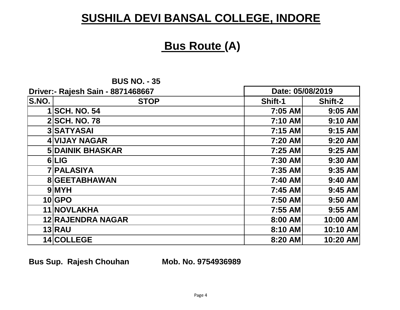#### **Bus Route (A)**

| <b>BUS NO. - 35</b> |  |  |
|---------------------|--|--|
|---------------------|--|--|

| Driver:- Rajesh Sain - 8871468667 |                          | Date: 05/08/2019 |           |
|-----------------------------------|--------------------------|------------------|-----------|
| S.NO.                             | <b>STOP</b>              | Shift-1          | Shift-2   |
|                                   | <b>1 SCH. NO. 54</b>     | 7:05 AM          | $9:05$ AM |
|                                   | <b>2 SCH. NO. 78</b>     | 7:10 AM          | $9:10$ AM |
|                                   | 3 SATYASAI               | 7:15 AM          | $9:15$ AM |
|                                   | <b>4 VIJAY NAGAR</b>     | 7:20 AM          | $9:20$ AM |
|                                   | <b>5 DAINIK BHASKAR</b>  | 7:25 AM          | $9:25$ AM |
|                                   | 6LIG                     | 7:30 AM          | $9:30$ AM |
|                                   | <b>7 PALASIYA</b>        | 7:35 AM          | $9:35$ AM |
|                                   | 8 GEETABHAWAN            | 7:40 AM          | 9:40 AM   |
|                                   | 9 MYH                    | 7:45 AM          | $9:45$ AM |
|                                   | 10 GPO                   | 7:50 AM          | $9:50$ AM |
|                                   | 11 NOVLAKHA              | 7:55 AM          | 9:55 AM   |
|                                   | <b>12 RAJENDRA NAGAR</b> | 8:00 AM          | 10:00 AM  |
|                                   | <b>13 RAU</b>            | 8:10 AM          | 10:10 AM  |
|                                   | 14 COLLEGE               | 8:20 AM          | 10:20 AM  |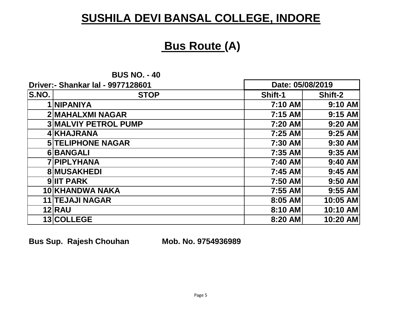#### **Bus Route (A)**

**BUS NO. - 40**

| <b>Driver:- Shankar Ial - 9977128601</b> |                             | Date: 05/08/2019 |           |
|------------------------------------------|-----------------------------|------------------|-----------|
| S.NO.                                    | <b>STOP</b>                 | Shift-1          | Shift-2   |
|                                          | <b>NIPANIYA</b>             | 7:10 AM          | 9:10 AM   |
|                                          | 2 MAHALXMI NAGAR            | 7:15 AM          | $9:15$ AM |
|                                          | <b>3 MALVIY PETROL PUMP</b> | 7:20 AM          | 9:20 AM   |
|                                          | 4 KHAJRANA                  | 7:25 AM          | $9:25$ AM |
|                                          | <b>5 TELIPHONE NAGAR</b>    | 7:30 AM          | 9:30 AM   |
|                                          | 6 BANGALI                   | 7:35 AM          | $9:35$ AM |
|                                          | <b>7 PIPLYHANA</b>          | 7:40 AM          | $9:40$ AM |
|                                          | <b>8 MUSAKHEDI</b>          | 7:45 AM          | $9:45$ AM |
|                                          | <b>9 IIT PARK</b>           | 7:50 AM          | 9:50 AM   |
|                                          | 10 KHANDWA NAKA             | 7:55 AM          | $9:55$ AM |
|                                          | <b>11 TEJAJI NAGAR</b>      | 8:05 AM          | 10:05 AM  |
|                                          | <b>12 RAU</b>               | 8:10 AM          | 10:10 AM  |
|                                          | 13 COLLEGE                  | 8:20 AM          | 10:20 AM  |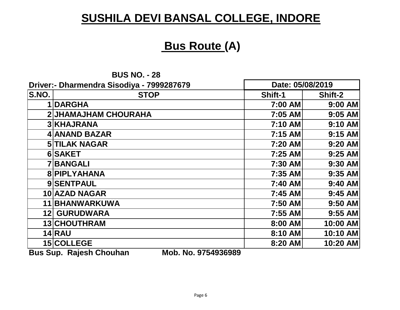## **Bus Route (A)**

|       | <b>BUS NO. - 28</b>                       |                  |           |
|-------|-------------------------------------------|------------------|-----------|
|       | Driver:- Dharmendra Sisodiya - 7999287679 | Date: 05/08/2019 |           |
| S.NO. | <b>STOP</b>                               | <b>Shift-1</b>   | Shift-2   |
|       | 1DARGHA                                   | 7:00 AM          | $9:00$ AM |
|       | <b>2 JHAMAJHAM CHOURAHA</b>               | 7:05 AM          | $9:05$ AM |
|       | <b>3 KHAJRANA</b>                         | 7:10 AM          | 9:10 AM   |
|       | 4 ANAND BAZAR                             | 7:15 AM          | 9:15 AM   |
|       | <b>5 TILAK NAGAR</b>                      | 7:20 AM          | 9:20 AM   |
|       | 6 SAKET                                   | 7:25 AM          | $9:25$ AM |
|       | <b>7 BANGALI</b>                          | 7:30 AM          | 9:30 AM   |
|       | 8 PIPLYAHANA                              | 7:35 AM          | 9:35 AM   |
|       | 9 SENTPAUL                                | 7:40 AM          | 9:40 AM   |
|       | 10 AZAD NAGAR                             | 7:45 AM          | $9:45$ AM |
|       | 11 BHANWARKUWA                            | 7:50 AM          | 9:50 AM   |
|       | <b>12 GURUDWARA</b>                       | 7:55 AM          | $9:55$ AM |
|       | 13 CHOUTHRAM                              | 8:00 AM          | 10:00 AM  |
|       | <b>14 RAU</b>                             | 8:10 AM          | 10:10 AM  |
|       | 15 COLLEGE                                | 8:20 AM          | 10:20 AM  |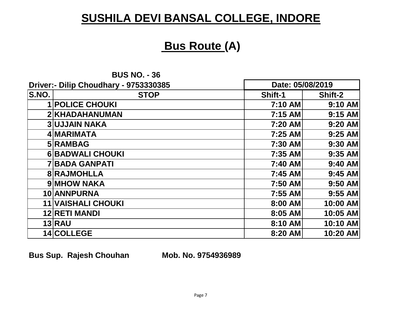### **Bus Route (A)**

**BUS NO. - 36**

| Driver:- Dilip Choudhary - 9753330385 |                           | Date: 05/08/2019 |           |
|---------------------------------------|---------------------------|------------------|-----------|
| S.NO.                                 | <b>STOP</b>               | Shift-1          | Shift-2   |
|                                       | <b>POLICE CHOUKI</b>      | 7:10 AM          | $9:10$ AM |
|                                       | 2 KHADAHANUMAN            | 7:15 AM          | $9:15$ AM |
|                                       | <b>3 UJJAIN NAKA</b>      | 7:20 AM          | 9:20 AM   |
|                                       | 4 MARIMATA                | 7:25 AM          | $9:25$ AM |
|                                       | 5 RAMBAG                  | 7:30 AM          | 9:30 AM   |
|                                       | <b>6 BADWALI CHOUKI</b>   | 7:35 AM          | $9:35$ AM |
|                                       | <b>7 BADA GANPATI</b>     | 7:40 AM          | 9:40 AM   |
|                                       | <b>8 RAJMOHLLA</b>        | 7:45 AM          | $9:45$ AM |
|                                       | 9 MHOW NAKA               | 7:50 AM          | $9:50$ AM |
|                                       | 10 ANNPURNA               | 7:55 AM          | $9:55$ AM |
|                                       | <b>11 VAISHALI CHOUKI</b> | 8:00 AM          | 10:00 AM  |
|                                       | <b>12 RETI MANDI</b>      | 8:05 AM          | 10:05 AM  |
|                                       | <b>13 RAU</b>             | 8:10 AM          | 10:10 AM  |
|                                       | 14 COLLEGE                | 8:20 AM          | 10:20 AM  |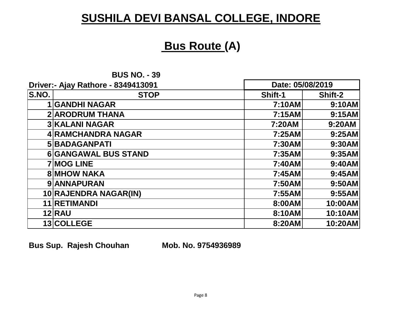#### **Bus Route (A)**

**BUS NO. - 39**

| Driver:- Ajay Rathore - 8349413091 |                             | Date: 05/08/2019 |         |
|------------------------------------|-----------------------------|------------------|---------|
| S.NO.                              | <b>STOP</b>                 | Shift-1          | Shift-2 |
|                                    | <b>GANDHI NAGAR</b>         | <b>7:10AM</b>    | 9:10AM  |
|                                    | <b>2 ARODRUM THANA</b>      | 7:15AM           | 9:15AM  |
|                                    | <b>3 KALANI NAGAR</b>       | 7:20AM           | 9:20AM  |
|                                    | <b>4 RAMCHANDRA NAGAR</b>   | 7:25AM           | 9:25AM  |
|                                    | <b>5 BADAGANPATI</b>        | 7:30AM           | 9:30AM  |
|                                    | <b>6 GANGAWAL BUS STAND</b> | 7:35AM           | 9:35AM  |
|                                    | <b>7 MOG LINE</b>           | 7:40AM           | 9:40AM  |
|                                    | <b>8 MHOW NAKA</b>          | 7:45AM           | 9:45AM  |
|                                    | 9 ANNAPURAN                 | 7:50AM           | 9:50AM  |
|                                    | 10 RAJENDRA NAGAR(IN)       | 7:55AM           | 9:55AM  |
|                                    | 11 RETIMANDI                | 8:00AM           | 10:00AM |
|                                    | <b>12 RAU</b>               | 8:10AM           | 10:10AM |
|                                    | 13 COLLEGE                  | 8:20AM           | 10:20AM |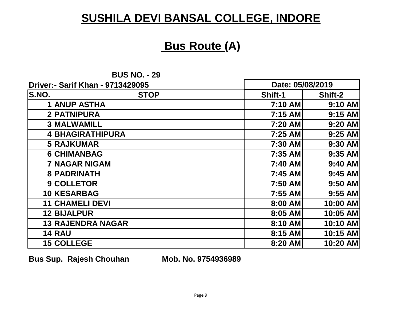#### **Bus Route (A)**

**BUS NO. - 29**

| Driver:- Sarif Khan - 9713429095 |                          | Date: 05/08/2019 |           |
|----------------------------------|--------------------------|------------------|-----------|
| S.NO.                            | <b>STOP</b>              | <b>Shift-1</b>   | Shift-2   |
|                                  | <b>ANUP ASTHA</b>        | 7:10 AM          | 9:10 AM   |
|                                  | 2 PATNIPURA              | 7:15 AM          | $9:15$ AM |
|                                  | <b>3 MALWAMILL</b>       | 7:20 AM          | $9:20$ AM |
|                                  | 4 BHAGIRATHIPURA         | 7:25 AM          | $9:25$ AM |
|                                  | 5 RAJKUMAR               | 7:30 AM          | 9:30 AM   |
|                                  | 6 CHIMANBAG              | 7:35 AM          | $9:35$ AM |
|                                  | <b>7 NAGAR NIGAM</b>     | 7:40 AM          | 9:40 AM   |
|                                  | <b>8 PADRINATH</b>       | 7:45 AM          | $9:45$ AM |
|                                  | 9 COLLETOR               | 7:50 AM          | $9:50$ AM |
|                                  | 10 KESARBAG              | 7:55 AM          | $9:55$ AM |
|                                  | <b>11 CHAMELI DEVI</b>   | 8:00 AM          | 10:00 AM  |
|                                  | 12 BIJALPUR              | 8:05 AM          | 10:05 AM  |
|                                  | <b>13 RAJENDRA NAGAR</b> | 8:10 AM          | 10:10 AM  |
|                                  | $14$ $RAU$               | 8:15 AM          | 10:15 AM  |
|                                  | <b>15 COLLEGE</b>        | 8:20 AM          | 10:20 AM  |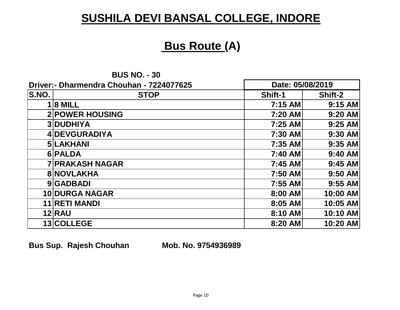### **Bus Route (A)**

**Date: 05/08/2019**

| <b>BUS NO. - 30</b> |  |
|---------------------|--|
|---------------------|--|

**Driver:- Dharmendra Chouhan - 7224077625**

|       | PHY61.- PHANICHUIA GHOUHAN - 7224077023 |         | Dalt. VJIVVILV I J |  |
|-------|-----------------------------------------|---------|--------------------|--|
| S.NO. | <b>STOP</b>                             | Shift-1 | Shift-2            |  |
|       | $1 8$ MILL                              | 7:15 AM | 9:15 AM            |  |
|       | <b>2 POWER HOUSING</b>                  | 7:20 AM | 9:20 AM            |  |
|       | <b>3DUDHIYA</b>                         | 7:25 AM | 9:25 AM            |  |
|       | 4 DEVGURADIYA                           | 7:30 AM | 9:30 AM            |  |
|       | <b>5 LAKHANI</b>                        | 7:35 AM | 9:35 AM            |  |
|       | 6 PALDA                                 | 7:40 AM | 9:40 AM            |  |
|       | <b>7 PRAKASH NAGAR</b>                  | 7:45 AM | 9:45 AM            |  |
|       | <b>8 NOVLAKHA</b>                       | 7:50 AM | 9:50 AM            |  |
|       | 9 GADBADI                               | 7:55 AM | 9:55 AM            |  |
|       | <b>10 DURGA NAGAR</b>                   | 8:00 AM | 10:00 AM           |  |
|       | <b>11 RETI MANDI</b>                    | 8:05 AM | 10:05 AM           |  |
|       | <b>12 RAU</b>                           | 8:10 AM | 10:10 AM           |  |
|       | 13 COLLEGE                              | 8:20 AM | 10:20 AM           |  |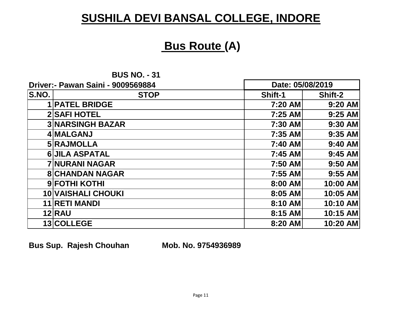#### **Bus Route (A)**

**BUS NO. - 31**

|       | Driver:- Pawan Saini - 9009569884 | Date: 05/08/2019 |           |
|-------|-----------------------------------|------------------|-----------|
| S.NO. | <b>STOP</b>                       | <b>Shift-1</b>   | Shift-2   |
|       | <b>PATEL BRIDGE</b>               | 7:20 AM          | $9:20$ AM |
|       | <b>2 SAFI HOTEL</b>               | 7:25 AM          | $9:25$ AM |
|       | <b>3 NARSINGH BAZAR</b>           | 7:30 AM          | $9:30$ AM |
|       | 4 MALGANJ                         | 7:35 AM          | $9:35$ AM |
|       | 5 RAJMOLLA                        | 7:40 AM          | $9:40$ AM |
|       | <b>6 JILA ASPATAL</b>             | 7:45 AM          | $9:45$ AM |
|       | <b>7 NURANI NAGAR</b>             | 7:50 AM          | $9:50$ AM |
|       | <b>8 CHANDAN NAGAR</b>            | 7:55 AM          | $9:55$ AM |
|       | 9 FOTHI KOTHI                     | 8:00 AM          | 10:00 AM  |
|       | <b>10 VAISHALI CHOUKI</b>         | 8:05 AM          | 10:05 AM  |
|       | <b>11 RETI MANDI</b>              | 8:10 AM          | 10:10 AM  |
|       | <b>12 RAU</b>                     | 8:15 AM          | 10:15 AM  |
|       | 13 COLLEGE                        | 8:20 AM          | 10:20 AM  |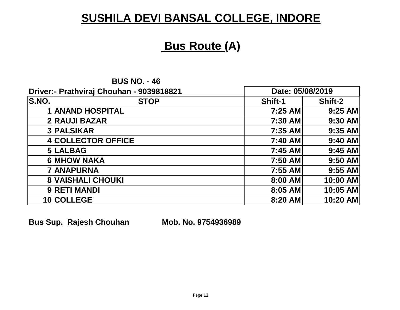## **Bus Route (A)**

|       | <b>DUJ NU. - 40</b>                      |                  |           |
|-------|------------------------------------------|------------------|-----------|
|       | Driver:- Prathviraj Chouhan - 9039818821 | Date: 05/08/2019 |           |
| S.NO. | <b>STOP</b>                              | Shift-1          | Shift-2   |
|       | <b>1 ANAND HOSPITAL</b>                  | 7:25 AM          | $9:25$ AM |
|       | <b>2 RAUJI BAZAR</b>                     | 7:30 AM          | 9:30 AM   |
|       | <b>3 PALSIKAR</b>                        | 7:35 AM          | $9:35$ AM |
|       | <b>4 COLLECTOR OFFICE</b>                | 7:40 AM          | $9:40$ AM |
|       | 5 LALBAG                                 | 7:45 AM          | $9:45$ AM |
|       | <b>6 MHOW NAKA</b>                       | 7:50 AM          | $9:50$ AM |
|       | <b>7 ANAPURNA</b>                        | 7:55 AM          | $9:55$ AM |
|       | <b>8 VAISHALI CHOUKI</b>                 | 8:00 AM          | 10:00 AM  |
|       | 9 RETI MANDI                             | 8:05 AM          | 10:05 AM  |
|       | 10 COLLEGE                               | 8:20 AM          | 10:20 AM  |

**BUS NO.**  $-46$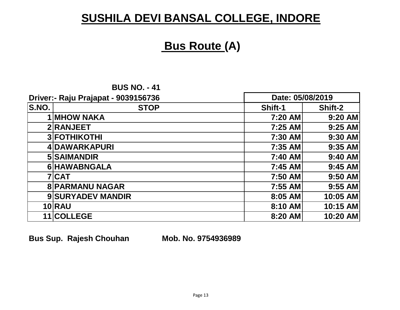## **Bus Route (A)**

| <b>BUS NO. - 41</b> |  |  |  |
|---------------------|--|--|--|
|---------------------|--|--|--|

|       | Driver:- Raju Prajapat - 9039156736 | Date: 05/08/2019 |           |
|-------|-------------------------------------|------------------|-----------|
| S.NO. | <b>STOP</b>                         | <b>Shift-1</b>   | Shift-2   |
|       | <b>1 MHOW NAKA</b>                  | 7:20 AM          | 9:20 AM   |
|       | 2 RANJEET                           | 7:25 AM          | $9:25$ AM |
|       | <b>3 FOTHIKOTHI</b>                 | 7:30 AM          | 9:30 AM   |
|       | 4 DAWARKAPURI                       | 7:35 AM          | $9:35$ AM |
|       | 5 SAIMANDIR                         | 7:40 AM          | $9:40$ AM |
|       | 6 HAWABNGALA                        | 7:45 AM          | $9:45$ AM |
|       | <b>7CAT</b>                         | 7:50 AM          | $9:50$ AM |
|       | <b>8 PARMANU NAGAR</b>              | 7:55 AM          | $9:55$ AM |
|       | 9 SURYADEV MANDIR                   | 8:05 AM          | 10:05 AM  |
|       | <b>10 RAU</b>                       | 8:10 AM          | 10:15 AM  |
|       | 11 COLLEGE                          | 8:20 AM          | 10:20 AM  |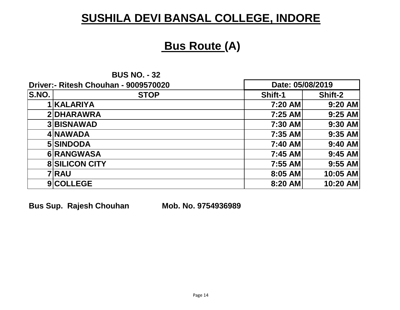#### **Bus Route (A)**

| <b>BUS NO. - 32</b> |  |  |
|---------------------|--|--|
|---------------------|--|--|

|       | Driver:- Ritesh Chouhan - 9009570020 | Date: 05/08/2019 |           |
|-------|--------------------------------------|------------------|-----------|
| S.NO. | <b>STOP</b>                          | <b>Shift-1</b>   | Shift-2   |
|       | <b>IKALARIYA</b>                     | 7:20 AM          | 9:20 AM   |
|       | 2DHARAWRA                            | 7:25 AM          | $9:25$ AM |
|       | <b>3 BISNAWAD</b>                    | 7:30 AM          | $9:30$ AM |
|       | 4 NAWADA                             | 7:35 AM          | $9:35$ AM |
|       | 5 SINDODA                            | 7:40 AM          | $9:40$ AM |
|       | 6 RANGWASA                           | 7:45 AM          | $9:45$ AM |
|       | <b>8 SILICON CITY</b>                | 7:55 AM          | $9:55$ AM |
|       | 7 RAU                                | 8:05 AM          | 10:05 AM  |
|       | 9 COLLEGE                            | 8:20 AM          | 10:20 AM  |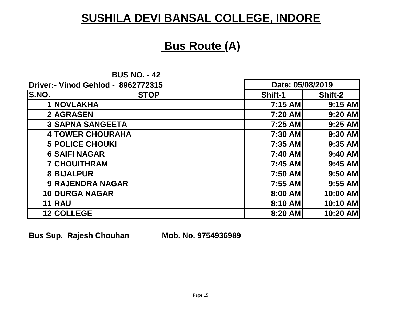#### **Bus Route (A)**

**BUS NO. - 42**

| <b>Driver:- Vinod Gehlod - 8962772315</b> |                         | Date: 05/08/2019 |           |
|-------------------------------------------|-------------------------|------------------|-----------|
| S.NO.                                     | <b>STOP</b>             | <b>Shift-1</b>   | Shift-2   |
|                                           | 1 NOVLAKHA              | 7:15 AM          | $9:15$ AM |
|                                           | 2 AGRASEN               | 7:20 AM          | 9:20 AM   |
|                                           | <b>3 SAPNA SANGEETA</b> | 7:25 AM          | $9:25$ AM |
|                                           | <b>4 TOWER CHOURAHA</b> | 7:30 AM          | $9:30$ AM |
|                                           | <b>5 POLICE CHOUKI</b>  | 7:35 AM          | $9:35$ AM |
|                                           | <b>6 SAIFI NAGAR</b>    | 7:40 AM          | $9:40$ AM |
|                                           | <b>7 CHOUITHRAM</b>     | 7:45 AM          | $9:45$ AM |
|                                           | <b>8BIJALPUR</b>        | 7:50 AM          | $9:50$ AM |
|                                           | 9 RAJENDRA NAGAR        | 7:55 AM          | $9:55$ AM |
|                                           | <b>10 DURGA NAGAR</b>   | 8:00 AM          | 10:00 AM  |
|                                           | <b>11 RAU</b>           | 8:10 AM          | 10:10 AM  |
|                                           | 12 COLLEGE              | 8:20 AM          | 10:20 AM  |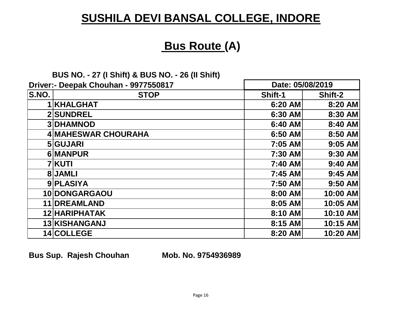## **Bus Route (A)**

#### **BUS NO. - 27 (I Shift) & BUS NO. - 26 (II Shift)**

|       | Driver:- Deepak Chouhan - 9977550817 | Date: 05/08/2019 |           |
|-------|--------------------------------------|------------------|-----------|
| S.NO. | <b>STOP</b>                          | Shift-1          | Shift-2   |
|       | <b>1 KHALGHAT</b>                    | 6:20 AM          | 8:20 AM   |
|       | <b>2 SUNDREL</b>                     | 6:30 AM          | 8:30 AM   |
|       | <b>3DHAMNOD</b>                      | 6:40 AM          | 8:40 AM   |
|       | 4 MAHESWAR CHOURAHA                  | 6:50 AM          | 8:50 AM   |
|       | 5 GUJARI                             | 7:05 AM          | $9:05$ AM |
|       | 6 MANPUR                             | 7:30 AM          | $9:30$ AM |
|       | <b>7 KUTI</b>                        | 7:40 AM          | $9:40$ AM |
|       | 8JAMLI                               | 7:45 AM          | $9:45$ AM |
|       | 9 PLASIYA                            | 7:50 AM          | $9:50$ AM |
|       | 10 DONGARGAOU                        | 8:00 AM          | 10:00 AM  |
|       | 11 DREAMLAND                         | 8:05 AM          | 10:05 AM  |
|       | 12 HARIPHATAK                        | 8:10 AM          | 10:10 AM  |
|       | 13 KISHANGANJ                        | 8:15 AM          | 10:15 AM  |
|       | 14 COLLEGE                           | 8:20 AM          | 10:20 AM  |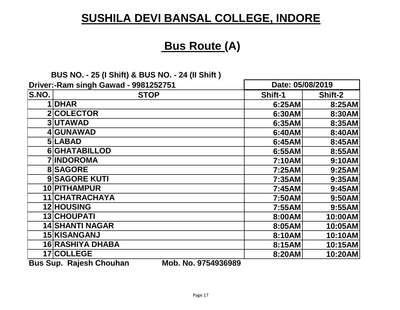## **Bus Route (A)**

#### **BUS NO. - 25 (I Shift) & BUS NO. - 24 (II Shift )**

|                            | Driver:-Ram singh Gawad - 9981252751 | Date: 05/08/2019 |         |
|----------------------------|--------------------------------------|------------------|---------|
| <b>S.NO.</b>               | <b>STOP</b>                          | Shift-1          | Shift-2 |
|                            | 1 DHAR                               | 6:25AM           | 8:25AM  |
|                            | 2 COLECTOR                           | 6:30AM           | 8:30AM  |
|                            | <b>3UTAWAD</b>                       | 6:35AM           | 8:35AM  |
|                            | 4 GUNAWAD                            | 6:40AM           | 8:40AM  |
|                            | 5LABAD                               | 6:45AM           | 8:45AM  |
|                            | <b>6 GHATABILLOD</b>                 | 6:55AM           | 8:55AM  |
|                            | <b>7 INDOROMA</b>                    | 7:10AM           | 9:10AM  |
|                            | <b>8</b> SAGORE                      | 7:25AM           | 9:25AM  |
|                            | <b>9 SAGORE KUTI</b>                 | 7:35AM           | 9:35AM  |
|                            | 10 PITHAMPUR                         | 7:45AM           | 9:45AM  |
|                            | 11 CHATRACHAYA                       | 7:50AM           | 9:50AM  |
|                            | 12 HOUSING                           | 7:55AM           | 9:55AM  |
|                            | <b>13 CHOUPATI</b>                   | 8:00AM           | 10:00AM |
|                            | <b>14 SHANTI NAGAR</b>               | 8:05AM           | 10:05AM |
|                            | 15 KISANGANJ                         | 8:10AM           | 10:10AM |
|                            | <b>16 RASHIYA DHABA</b>              | 8:15AM           | 10:15AM |
|                            | 17 COLLEGE                           | 8:20AM           | 10:20AM |
| $D_{11}$ $C_{11}$ $R_{21}$ | Mah Na 0751026000<br>Dajaah Chauban  |                  |         |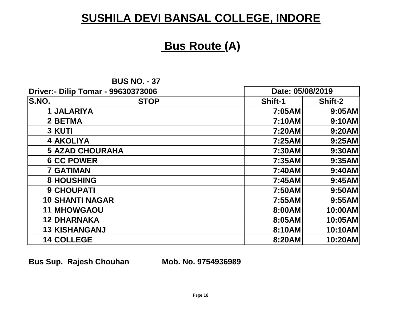#### **Bus Route (A)**

| <b>BUS NO. - 37</b> |  |  |
|---------------------|--|--|
|---------------------|--|--|

|       | Driver:- Dilip Tomar - 99630373006 | Date: 05/08/2019 |         |
|-------|------------------------------------|------------------|---------|
| S.NO. | <b>STOP</b>                        | Shift-1          | Shift-2 |
|       | 1 JALARIYA                         | 7:05AM           | 9:05AM  |
|       | 2BETMA                             | 7:10AM           | 9:10AM  |
|       | <b>3 KUTI</b>                      | 7:20AM           | 9:20AM  |
|       | 4 AKOLIYA                          | 7:25AM           | 9:25AM  |
|       | <b>5 AZAD CHOURAHA</b>             | 7:30AM           | 9:30AM  |
|       | <b>6 CC POWER</b>                  | 7:35AM           | 9:35AM  |
|       | <b>7 GATIMAN</b>                   | 7:40AM           | 9:40AM  |
|       | <b>8 HOUSHING</b>                  | 7:45AM           | 9:45AM  |
|       | 9 CHOUPATI                         | 7:50AM           | 9:50AM  |
|       | <b>10 SHANTI NAGAR</b>             | 7:55AM           | 9:55AM  |
|       | <b>11 MHOWGAOU</b>                 | 8:00AM           | 10:00AM |
|       | 12 DHARNAKA                        | 8:05AM           | 10:05AM |
|       | 13 KISHANGANJ                      | 8:10AM           | 10:10AM |
|       | 14 COLLEGE                         | 8:20AM           | 10:20AM |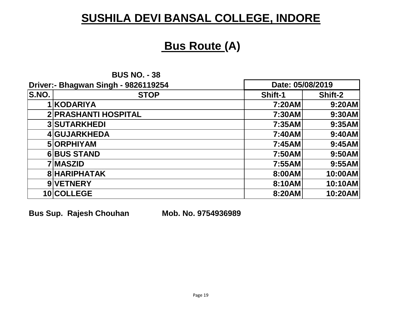#### **Bus Route (A)**

**BUS NO. - 38**

| Driver:- Bhagwan Singh - 9826119254 |                             | Date: 05/08/2019 |         |
|-------------------------------------|-----------------------------|------------------|---------|
| S.NO.                               | <b>STOP</b>                 | <b>Shift-1</b>   | Shift-2 |
|                                     | 1 KODARIYA                  | 7:20AM           | 9:20AM  |
|                                     | <b>2 PRASHANTI HOSPITAL</b> | 7:30AM           | 9:30AM  |
|                                     | <b>3 SUTARKHEDI</b>         | 7:35AM           | 9:35AM  |
|                                     | 4 GUJARKHEDA                | 7:40AM           | 9:40AM  |
|                                     | 5 ORPHIYAM                  | 7:45AM           | 9:45AM  |
|                                     | <b>6BUS STAND</b>           | 7:50AM           | 9:50AM  |
|                                     | 7 MASZID                    | 7:55AM           | 9:55AM  |
|                                     | <b>8 HARIPHATAK</b>         | 8:00AM           | 10:00AM |
|                                     | 9 VETNERY                   | 8:10AM           | 10:10AM |
|                                     | 10 COLLEGE                  | 8:20AM           | 10:20AM |